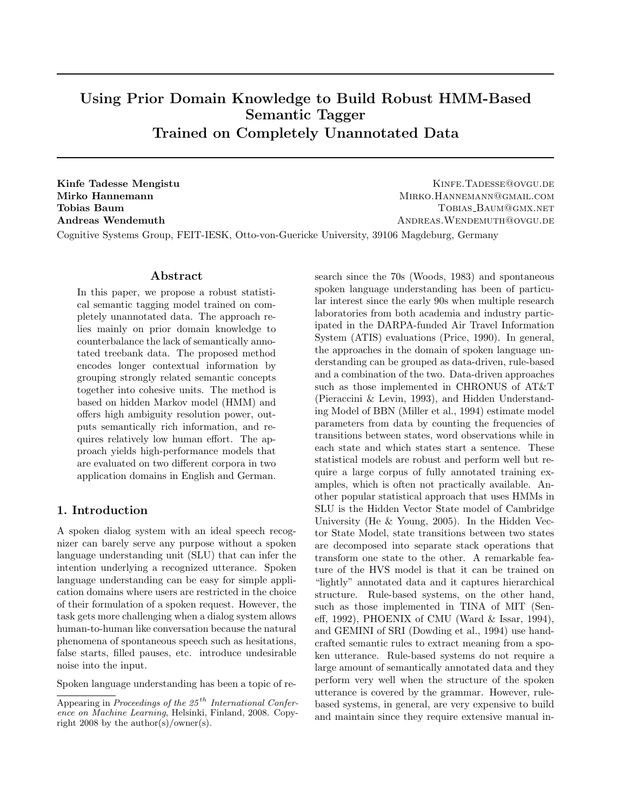# Using Prior Domain Knowledge to Build Robust HMM-Based Semantic Tagger Trained on Completely Unannotated Data

Kinfe Tadesse Mengistu Kinfe Tabesse@ovgu.de Mirko Hannemann MIRKO.HANNEMANN@GMAIL.COM **Tobias Baum Tomic Baum Tobias Baum Tomic Baum Tomic Baum Tomic Baum Tomic Baum Tomic Baum Tomic Baum Tomic Baum Tomic Baum Tomic Baum Tomic Baum Tomic Baum Tomic Baum Tomic Baum Tomic Baum Tomic Baum Tomic Baum Tomic Baum** Andreas Wendemuth **Andreas Wendemuth** Andreas. WENDEMUTH<sup>@</sup>OVGU.DE

Cognitive Systems Group, FEIT-IESK, Otto-von-Guericke University, 39106 Magdeburg, Germany

### Abstract

In this paper, we propose a robust statistical semantic tagging model trained on completely unannotated data. The approach relies mainly on prior domain knowledge to counterbalance the lack of semantically annotated treebank data. The proposed method encodes longer contextual information by grouping strongly related semantic concepts together into cohesive units. The method is based on hidden Markov model (HMM) and offers high ambiguity resolution power, outputs semantically rich information, and requires relatively low human effort. The approach yields high-performance models that are evaluated on two different corpora in two application domains in English and German.

#### 1. Introduction

A spoken dialog system with an ideal speech recognizer can barely serve any purpose without a spoken language understanding unit (SLU) that can infer the intention underlying a recognized utterance. Spoken language understanding can be easy for simple application domains where users are restricted in the choice of their formulation of a spoken request. However, the task gets more challenging when a dialog system allows human-to-human like conversation because the natural phenomena of spontaneous speech such as hesitations, false starts, filled pauses, etc. introduce undesirable noise into the input.

Spoken language understanding has been a topic of re-

search since the 70s (Woods, 1983) and spontaneous spoken language understanding has been of particular interest since the early 90s when multiple research laboratories from both academia and industry participated in the DARPA-funded Air Travel Information System (ATIS) evaluations (Price, 1990). In general, the approaches in the domain of spoken language understanding can be grouped as data-driven, rule-based and a combination of the two. Data-driven approaches such as those implemented in CHRONUS of AT&T (Pieraccini & Levin, 1993), and Hidden Understanding Model of BBN (Miller et al., 1994) estimate model parameters from data by counting the frequencies of transitions between states, word observations while in each state and which states start a sentence. These statistical models are robust and perform well but require a large corpus of fully annotated training examples, which is often not practically available. Another popular statistical approach that uses HMMs in SLU is the Hidden Vector State model of Cambridge University (He & Young, 2005). In the Hidden Vector State Model, state transitions between two states are decomposed into separate stack operations that transform one state to the other. A remarkable feature of the HVS model is that it can be trained on "lightly" annotated data and it captures hierarchical structure. Rule-based systems, on the other hand, such as those implemented in TINA of MIT (Seneff, 1992), PHOENIX of CMU (Ward & Issar, 1994), and GEMINI of SRI (Dowding et al., 1994) use handcrafted semantic rules to extract meaning from a spoken utterance. Rule-based systems do not require a large amount of semantically annotated data and they perform very well when the structure of the spoken utterance is covered by the grammar. However, rulebased systems, in general, are very expensive to build and maintain since they require extensive manual in-

Appearing in Proceedings of the  $25<sup>th</sup>$  International Conference on Machine Learning, Helsinki, Finland, 2008. Copyright 2008 by the author(s)/owner(s).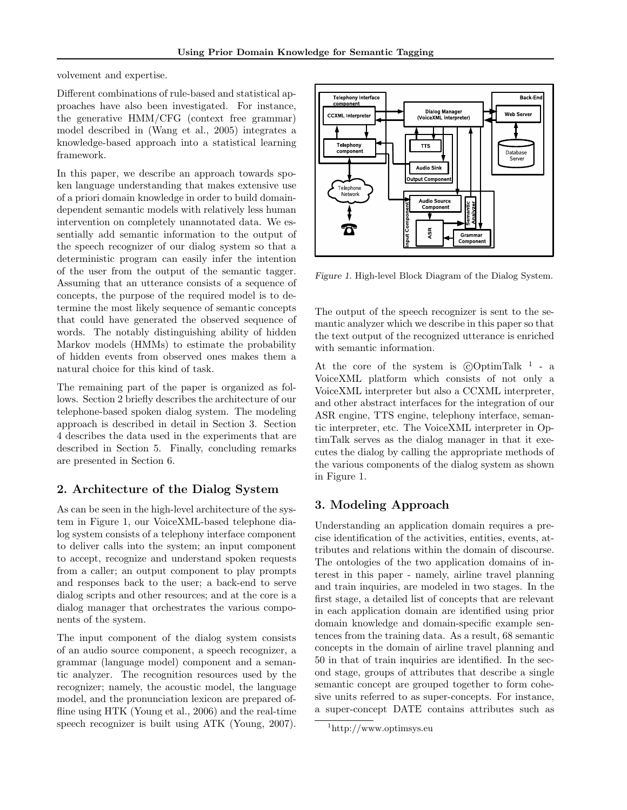volvement and expertise.

Different combinations of rule-based and statistical approaches have also been investigated. For instance, the generative HMM/CFG (context free grammar) model described in (Wang et al., 2005) integrates a knowledge-based approach into a statistical learning framework.

In this paper, we describe an approach towards spoken language understanding that makes extensive use of a priori domain knowledge in order to build domaindependent semantic models with relatively less human intervention on completely unannotated data. We essentially add semantic information to the output of the speech recognizer of our dialog system so that a deterministic program can easily infer the intention of the user from the output of the semantic tagger. Assuming that an utterance consists of a sequence of concepts, the purpose of the required model is to determine the most likely sequence of semantic concepts that could have generated the observed sequence of words. The notably distinguishing ability of hidden Markov models (HMMs) to estimate the probability of hidden events from observed ones makes them a natural choice for this kind of task.

The remaining part of the paper is organized as follows. Section 2 briefly describes the architecture of our telephone-based spoken dialog system. The modeling approach is described in detail in Section 3. Section 4 describes the data used in the experiments that are described in Section 5. Finally, concluding remarks are presented in Section 6.

## 2. Architecture of the Dialog System

As can be seen in the high-level architecture of the system in Figure 1, our VoiceXML-based telephone dialog system consists of a telephony interface component to deliver calls into the system; an input component to accept, recognize and understand spoken requests from a caller; an output component to play prompts and responses back to the user; a back-end to serve dialog scripts and other resources; and at the core is a dialog manager that orchestrates the various components of the system.

The input component of the dialog system consists of an audio source component, a speech recognizer, a grammar (language model) component and a semantic analyzer. The recognition resources used by the recognizer; namely, the acoustic model, the language model, and the pronunciation lexicon are prepared offline using HTK (Young et al., 2006) and the real-time speech recognizer is built using ATK (Young, 2007).



Figure 1. High-level Block Diagram of the Dialog System.

The output of the speech recognizer is sent to the semantic analyzer which we describe in this paper so that the text output of the recognized utterance is enriched with semantic information.

At the core of the system is  $\odot$ OptimTalk<sup>1</sup> - a VoiceXML platform which consists of not only a VoiceXML interpreter but also a CCXML interpreter, and other abstract interfaces for the integration of our ASR engine, TTS engine, telephony interface, semantic interpreter, etc. The VoiceXML interpreter in OptimTalk serves as the dialog manager in that it executes the dialog by calling the appropriate methods of the various components of the dialog system as shown in Figure 1.

## 3. Modeling Approach

Understanding an application domain requires a precise identification of the activities, entities, events, attributes and relations within the domain of discourse. The ontologies of the two application domains of interest in this paper - namely, airline travel planning and train inquiries, are modeled in two stages. In the first stage, a detailed list of concepts that are relevant in each application domain are identified using prior domain knowledge and domain-specific example sentences from the training data. As a result, 68 semantic concepts in the domain of airline travel planning and 50 in that of train inquiries are identified. In the second stage, groups of attributes that describe a single semantic concept are grouped together to form cohesive units referred to as super-concepts. For instance, a super-concept DATE contains attributes such as

<sup>1</sup>http://www.optimsys.eu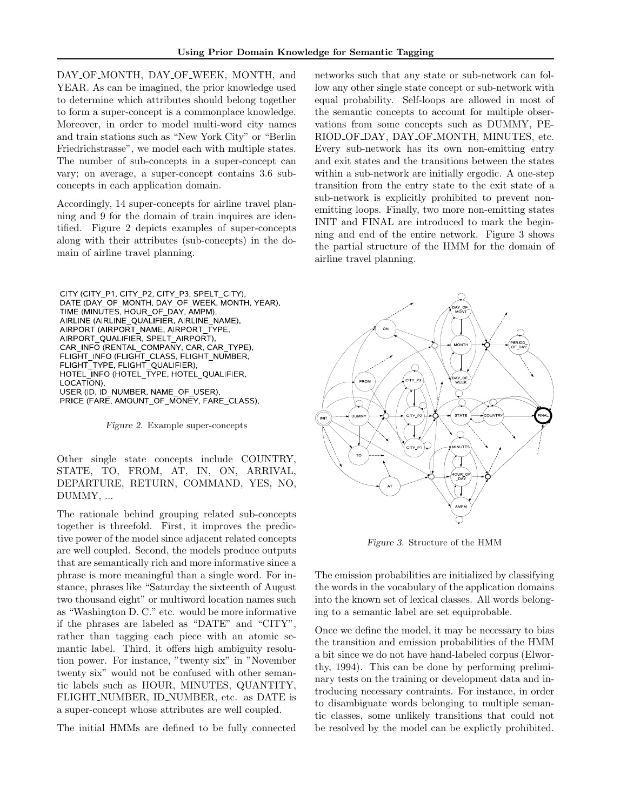DAY OF MONTH, DAY OF WEEK, MONTH, and YEAR. As can be imagined, the prior knowledge used to determine which attributes should belong together to form a super-concept is a commonplace knowledge. Moreover, in order to model multi-word city names and train stations such as "New York City" or "Berlin Friedrichstrasse", we model each with multiple states. The number of sub-concepts in a super-concept can vary; on average, a super-concept contains 3.6 subconcepts in each application domain.

Accordingly, 14 super-concepts for airline travel planning and 9 for the domain of train inquires are identified. Figure 2 depicts examples of super-concepts along with their attributes (sub-concepts) in the domain of airline travel planning.

CITY (CITY\_P1, CITY\_P2, CITY\_P3, SPELT\_CITY),<br>DATE (DAY\_OF\_MONTH, DAY\_OF\_WEEK, MONTH, YEAR),<br>TIME (MINUTES, HOUR\_OF\_DAY, AMPM), AIRLINE (AIRLINE\_QUALIFIER, AIRLINE\_NAME), AIRPORT (AIRPORT NAME, AIRPORT TYPE, AIRPORT\_QUALIFIER, SPELT\_AIRPORT), CAR\_INFO (RENTAL\_COMPANY, CAR, CAR\_TYPE), FLIGHT\_INFO (FLIGHT\_CLASS, FLIGHT\_NUMBER,<br>FLIGHT\_TYPE, FLIGHT\_QUALIFIER), HOTEL\_INFO (HOTEL\_TYPE, HOTEL\_QUALIFIER, LOCATION), USER (ID, ID NUMBER, NAME OF USER), PRICE (FARE, AMOUNT\_OF\_MONEY, FARE\_CLASS),

Figure 2. Example super-concepts

Other single state concepts include COUNTRY, STATE, TO, FROM, AT, IN, ON, ARRIVAL, DEPARTURE, RETURN, COMMAND, YES, NO, DUMMY, ...

The rationale behind grouping related sub-concepts together is threefold. First, it improves the predictive power of the model since adjacent related concepts are well coupled. Second, the models produce outputs that are semantically rich and more informative since a phrase is more meaningful than a single word. For instance, phrases like "Saturday the sixteenth of August two thousand eight" or multiword location names such as "Washington D. C." etc. would be more informative if the phrases are labeled as "DATE" and "CITY", rather than tagging each piece with an atomic semantic label. Third, it offers high ambiguity resolution power. For instance, "twenty six" in "November twenty six" would not be confused with other semantic labels such as HOUR, MINUTES, QUANTITY, FLIGHT NUMBER, ID NUMBER, etc. as DATE is a super-concept whose attributes are well coupled.

The initial HMMs are defined to be fully connected

networks such that any state or sub-network can follow any other single state concept or sub-network with equal probability. Self-loops are allowed in most of the semantic concepts to account for multiple observations from some concepts such as DUMMY, PE-RIOD OF DAY, DAY OF MONTH, MINUTES, etc. Every sub-network has its own non-emitting entry and exit states and the transitions between the states within a sub-network are initially ergodic. A one-step transition from the entry state to the exit state of a sub-network is explicitly prohibited to prevent nonemitting loops. Finally, two more non-emitting states INIT and FINAL are introduced to mark the beginning and end of the entire network. Figure 3 shows the partial structure of the HMM for the domain of airline travel planning.



Figure 3. Structure of the HMM

The emission probabilities are initialized by classifying the words in the vocabulary of the application domains into the known set of lexical classes. All words belonging to a semantic label are set equiprobable.

Once we define the model, it may be necessary to bias the transition and emission probabilities of the HMM a bit since we do not have hand-labeled corpus (Elworthy, 1994). This can be done by performing preliminary tests on the training or development data and introducing necessary contraints. For instance, in order to disambiguate words belonging to multiple semantic classes, some unlikely transitions that could not be resolved by the model can be explictly prohibited.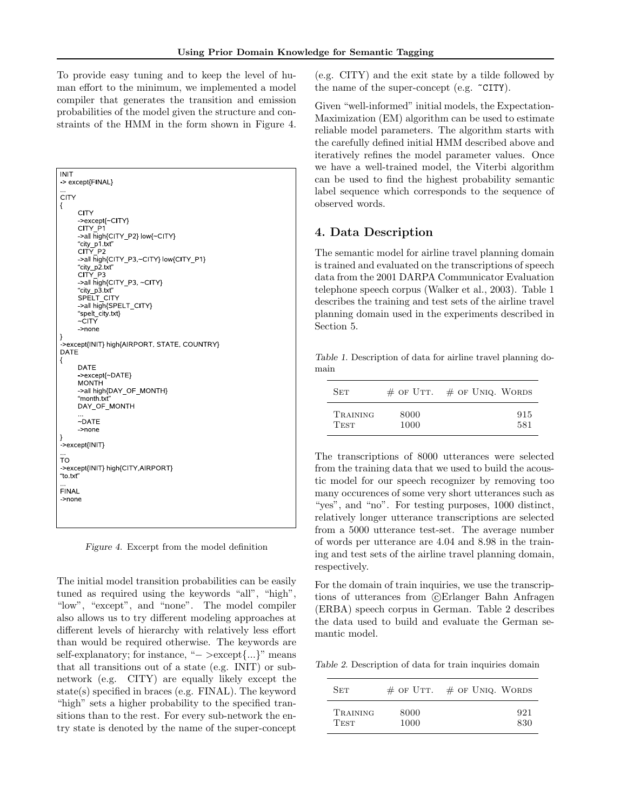To provide easy tuning and to keep the level of human effort to the minimum, we implemented a model compiler that generates the transition and emission probabilities of the model given the structure and constraints of the HMM in the form shown in Figure 4.

| <b>INIT</b><br>-> except{FINAL}                                                                                                                                                                       |
|-------------------------------------------------------------------------------------------------------------------------------------------------------------------------------------------------------|
| <br><b>CITY</b><br>ſ<br>CITY<br>->except{~CITY}<br>CITY P1<br>->all high{CITY P2} low{~CITY}<br>"city_p1.txt"<br>CITY P2                                                                              |
| ->all high{CITY P3,~CITY} low{CITY P1}<br>"city_p2.txt"<br>CITY P3<br>->all high{CITY P3, ~CITY}<br>"city p3.txt"<br>SPELT CITY<br>>all high{SPELT CITY}<br>"spelt city.txt}<br>$\sim$ CITY<br>->none |
| }<br>->except{INIT} high{AIRPORT, STATE, COUNTRY}<br><b>DATE</b><br>{                                                                                                                                 |
| DATE<br>->except{~DATE}<br><b>MONTH</b><br>->all high{DAY OF MONTH}<br>"month.txt"<br>DAY OF MONTH                                                                                                    |
| <br>$\neg$ DATE<br>>none<br>}                                                                                                                                                                         |
| ->except{INIT}<br>$\cdots$<br>то<br>->except{INIT} high{CITY,AIRPORT}                                                                                                                                 |
| "to.txt"<br>$\sim$<br><b>FINAL</b>                                                                                                                                                                    |
| ->none                                                                                                                                                                                                |
|                                                                                                                                                                                                       |

Figure 4. Excerpt from the model definition

The initial model transition probabilities can be easily tuned as required using the keywords "all", "high", "low", "except", and "none". The model compiler also allows us to try different modeling approaches at different levels of hierarchy with relatively less effort than would be required otherwise. The keywords are self-explanatory; for instance, "− >except{...}" means that all transitions out of a state (e.g. INIT) or subnetwork (e.g. CITY) are equally likely except the state(s) specified in braces (e.g. FINAL). The keyword "high" sets a higher probability to the specified transitions than to the rest. For every sub-network the entry state is denoted by the name of the super-concept

(e.g. CITY) and the exit state by a tilde followed by the name of the super-concept (e.g. ~CITY).

Given "well-informed" initial models, the Expectation-Maximization (EM) algorithm can be used to estimate reliable model parameters. The algorithm starts with the carefully defined initial HMM described above and iteratively refines the model parameter values. Once we have a well-trained model, the Viterbi algorithm can be used to find the highest probability semantic label sequence which corresponds to the sequence of observed words.

### 4. Data Description

The semantic model for airline travel planning domain is trained and evaluated on the transcriptions of speech data from the 2001 DARPA Communicator Evaluation telephone speech corpus (Walker et al., 2003). Table 1 describes the training and test sets of the airline travel planning domain used in the experiments described in Section 5.

Table 1. Description of data for airline travel planning domain

| Set         |      | $\#$ OF UTT. $\#$ OF UNIQ. WORDS |
|-------------|------|----------------------------------|
| TRAINING    | 8000 | 915                              |
| <b>TEST</b> | 1000 | 581                              |

The transcriptions of 8000 utterances were selected from the training data that we used to build the acoustic model for our speech recognizer by removing too many occurences of some very short utterances such as "yes", and "no". For testing purposes, 1000 distinct, relatively longer utterance transcriptions are selected from a 5000 utterance test-set. The average number of words per utterance are 4.04 and 8.98 in the training and test sets of the airline travel planning domain, respectively.

For the domain of train inquiries, we use the transcriptions of utterances from  $\odot$ Erlanger Bahn Anfragen (ERBA) speech corpus in German. Table 2 describes the data used to build and evaluate the German semantic model.

Table 2. Description of data for train inquiries domain

| Set             |      | $\#$ OF UTT. $\#$ OF UNIQ. WORDS |
|-----------------|------|----------------------------------|
| <b>TRAINING</b> | 8000 | 921                              |
| <b>TEST</b>     | 1000 | 830                              |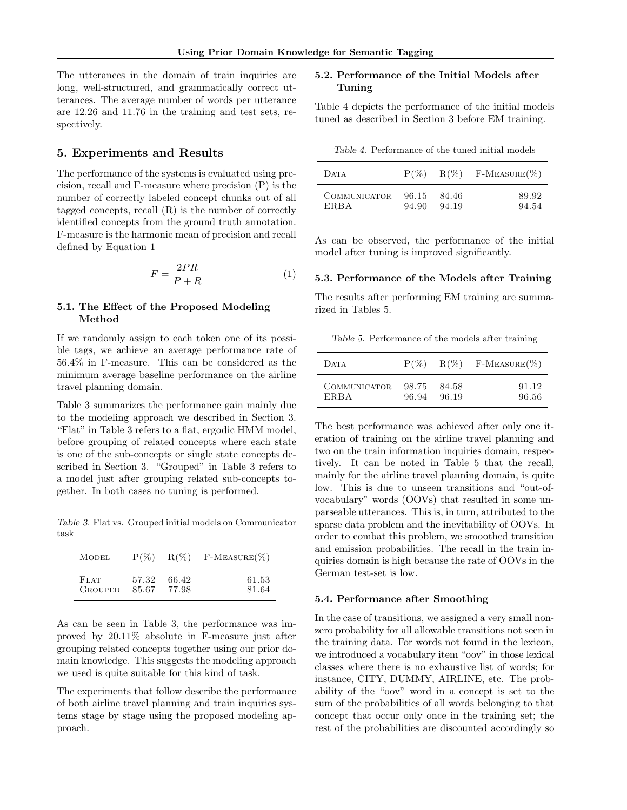The utterances in the domain of train inquiries are long, well-structured, and grammatically correct utterances. The average number of words per utterance are 12.26 and 11.76 in the training and test sets, respectively.

#### 5. Experiments and Results

The performance of the systems is evaluated using precision, recall and F-measure where precision (P) is the number of correctly labeled concept chunks out of all tagged concepts, recall (R) is the number of correctly identified concepts from the ground truth annotation. F-measure is the harmonic mean of precision and recall defined by Equation 1

$$
F = \frac{2PR}{P + R} \tag{1}
$$

#### 5.1. The Effect of the Proposed Modeling Method

If we randomly assign to each token one of its possible tags, we achieve an average performance rate of 56.4% in F-measure. This can be considered as the minimum average baseline performance on the airline travel planning domain.

Table 3 summarizes the performance gain mainly due to the modeling approach we described in Section 3. "Flat" in Table 3 refers to a flat, ergodic HMM model, before grouping of related concepts where each state is one of the sub-concepts or single state concepts described in Section 3. "Grouped" in Table 3 refers to a model just after grouping related sub-concepts together. In both cases no tuning is performed.

Table 3. Flat vs. Grouped initial models on Communicator task

| MODEL          | $P(\%)$ | $R(\%)$ | $F-Measure(\%)$ |
|----------------|---------|---------|-----------------|
| <b>FLAT</b>    | 57.32   | 66.42   | 61.53           |
| <b>GROUPED</b> | 85.67   | 77.98   | 81.64           |

As can be seen in Table 3, the performance was improved by 20.11% absolute in F-measure just after grouping related concepts together using our prior domain knowledge. This suggests the modeling approach we used is quite suitable for this kind of task.

The experiments that follow describe the performance of both airline travel planning and train inquiries systems stage by stage using the proposed modeling approach.

#### 5.2. Performance of the Initial Models after Tuning

Table 4 depicts the performance of the initial models tuned as described in Section 3 before EM training.

Table 4. Performance of the tuned initial models

| <b>DATA</b>         |       |       | $P(\%)$ R(%) F-MEASURE(%) |
|---------------------|-------|-------|---------------------------|
| <b>COMMUNICATOR</b> | 96.15 | 84.46 | 89.92                     |
| <b>ERBA</b>         | 94.90 | 94.19 | 94.54                     |

As can be observed, the performance of the initial model after tuning is improved significantly.

#### 5.3. Performance of the Models after Training

The results after performing EM training are summarized in Tables 5.

Table 5. Performance of the models after training

| DATA                | $P(\%)$ |       | $R(\%)$ F-MEASURE(%) |
|---------------------|---------|-------|----------------------|
| <b>COMMUNICATOR</b> | 98.75   | 84.58 | 91.12                |
| ERBA                | 96.94   | 96.19 | 96.56                |

The best performance was achieved after only one iteration of training on the airline travel planning and two on the train information inquiries domain, respectively. It can be noted in Table 5 that the recall, mainly for the airline travel planning domain, is quite low. This is due to unseen transitions and "out-ofvocabulary" words (OOVs) that resulted in some unparseable utterances. This is, in turn, attributed to the sparse data problem and the inevitability of OOVs. In order to combat this problem, we smoothed transition and emission probabilities. The recall in the train inquiries domain is high because the rate of OOVs in the German test-set is low.

#### 5.4. Performance after Smoothing

In the case of transitions, we assigned a very small nonzero probability for all allowable transitions not seen in the training data. For words not found in the lexicon, we introduced a vocabulary item "oov" in those lexical classes where there is no exhaustive list of words; for instance, CITY, DUMMY, AIRLINE, etc. The probability of the "oov" word in a concept is set to the sum of the probabilities of all words belonging to that concept that occur only once in the training set; the rest of the probabilities are discounted accordingly so